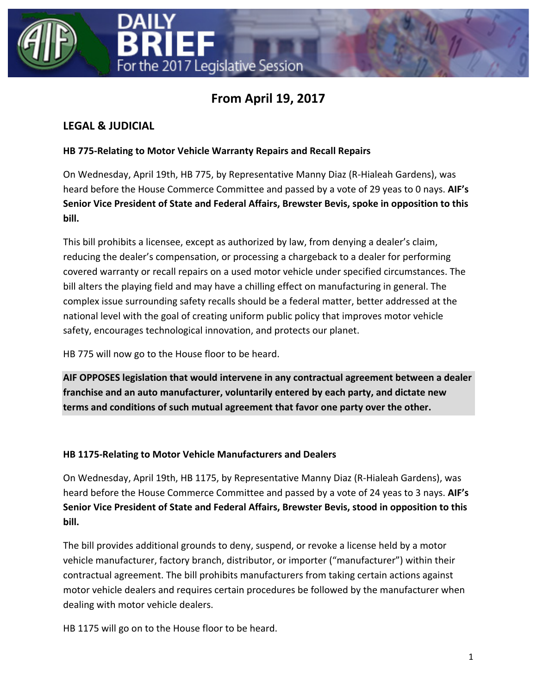



# **From April 19, 2017**

# **LEGAL & JUDICIAL**

### **HB 775-Relating to Motor Vehicle Warranty Repairs and Recall Repairs**

On Wednesday, April 19th, HB 775, by Representative Manny Diaz (R-Hialeah Gardens), was heard before the House Commerce Committee and passed by a vote of 29 yeas to 0 nays. **AIF's Senior Vice President of State and Federal Affairs, Brewster Bevis, spoke in opposition to this bill.**

This bill prohibits a licensee, except as authorized by law, from denying a dealer's claim, reducing the dealer's compensation, or processing a chargeback to a dealer for performing covered warranty or recall repairs on a used motor vehicle under specified circumstances. The bill alters the playing field and may have a chilling effect on manufacturing in general. The complex issue surrounding safety recalls should be a federal matter, better addressed at the national level with the goal of creating uniform public policy that improves motor vehicle safety, encourages technological innovation, and protects our planet.

HB 775 will now go to the House floor to be heard.

**AIF OPPOSES legislation that would intervene in any contractual agreement between a dealer franchise and an auto manufacturer, voluntarily entered by each party, and dictate new terms and conditions of such mutual agreement that favor one party over the other.**

### **HB 1175-Relating to Motor Vehicle Manufacturers and Dealers**

On Wednesday, April 19th, HB 1175, by Representative Manny Diaz (R-Hialeah Gardens), was heard before the House Commerce Committee and passed by a vote of 24 yeas to 3 nays. **AIF's Senior Vice President of State and Federal Affairs, Brewster Bevis, stood in opposition to this bill.**

The bill provides additional grounds to deny, suspend, or revoke a license held by a motor vehicle manufacturer, factory branch, distributor, or importer ("manufacturer") within their contractual agreement. The bill prohibits manufacturers from taking certain actions against motor vehicle dealers and requires certain procedures be followed by the manufacturer when dealing with motor vehicle dealers.

HB 1175 will go on to the House floor to be heard.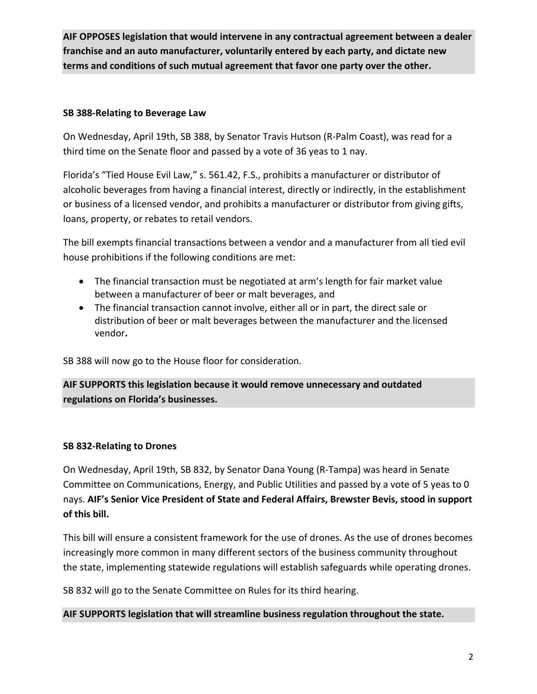**AIF OPPOSES legislation that would intervene in any contractual agreement between a dealer franchise and an auto manufacturer, voluntarily entered by each party, and dictate new terms and conditions of such mutual agreement that favor one party over the other.**

### **SB 388-Relating to Beverage Law**

On Wednesday, April 19th, SB 388, by Senator Travis Hutson (R-Palm Coast), was read for a third time on the Senate floor and passed by a vote of 36 yeas to 1 nay.

Florida's "Tied House Evil Law," s. 561.42, F.S., prohibits a manufacturer or distributor of alcoholic beverages from having a financial interest, directly or indirectly, in the establishment or business of a licensed vendor, and prohibits a manufacturer or distributor from giving gifts, loans, property, or rebates to retail vendors.

The bill exempts financial transactions between a vendor and a manufacturer from all tied evil house prohibitions if the following conditions are met:

- The financial transaction must be negotiated at arm's length for fair market value between a manufacturer of beer or malt beverages, and
- The financial transaction cannot involve, either all or in part, the direct sale or distribution of beer or malt beverages between the manufacturer and the licensed vendor**.**

SB 388 will now go to the House floor for consideration.

**AIF SUPPORTS this legislation because it would remove unnecessary and outdated regulations on Florida's businesses.**

### **SB 832-Relating to Drones**

On Wednesday, April 19th, SB 832, by Senator Dana Young (R-Tampa) was heard in Senate Committee on Communications, Energy, and Public Utilities and passed by a vote of 5 yeas to 0 nays. **AIF's Senior Vice President of State and Federal Affairs, Brewster Bevis, stood in support of this bill.**

This bill will ensure a consistent framework for the use of drones. As the use of drones becomes increasingly more common in many different sectors of the business community throughout the state, implementing statewide regulations will establish safeguards while operating drones.

SB 832 will go to the Senate Committee on Rules for its third hearing.

### **AIF SUPPORTS legislation that will streamline business regulation throughout the state.**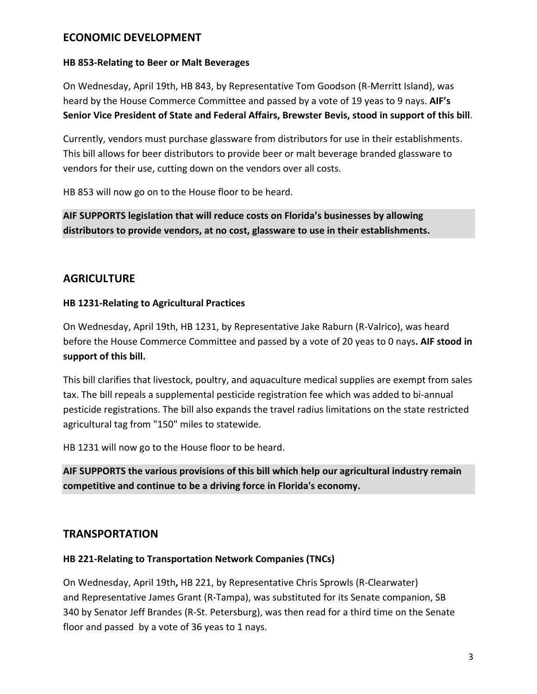# **ECONOMIC DEVELOPMENT**

#### **HB 853-Relating to Beer or Malt Beverages**

On Wednesday, April 19th, HB 843, by Representative Tom Goodson (R-Merritt Island), was heard by the House Commerce Committee and passed by a vote of 19 yeas to 9 nays. **AIF's Senior Vice President of State and Federal Affairs, Brewster Bevis, stood in support of this bill**.

Currently, vendors must purchase glassware from distributors for use in their establishments. This bill allows for beer distributors to provide beer or malt beverage branded glassware to vendors for their use, cutting down on the vendors over all costs.

HB 853 will now go on to the House floor to be heard.

**AIF SUPPORTS legislation that will reduce costs on Florida's businesses by allowing distributors to provide vendors, at no cost, glassware to use in their establishments.**

### **AGRICULTURE**

### **HB 1231-Relating to Agricultural Practices**

On Wednesday, April 19th, HB 1231, by Representative Jake Raburn (R-Valrico), was heard before the House Commerce Committee and passed by a vote of 20 yeas to 0 nays**. AIF stood in support of this bill.**

This bill clarifies that livestock, poultry, and aquaculture medical supplies are exempt from sales tax. The bill repeals a supplemental pesticide registration fee which was added to bi-annual pesticide registrations. The bill also expands the travel radius limitations on the state restricted agricultural tag from "150" miles to statewide.

HB 1231 will now go to the House floor to be heard.

**AIF SUPPORTS the various provisions of this bill which help our agricultural industry remain competitive and continue to be a driving force in Florida's economy.**

### **TRANSPORTATION**

### **HB 221-Relating to Transportation Network Companies (TNCs)**

On Wednesday, April 19th**,** HB 221, by Representative Chris Sprowls (R-Clearwater) and Representative James Grant (R-Tampa), was substituted for its Senate companion, SB 340 by Senator Jeff Brandes (R-St. Petersburg), was then read for a third time on the Senate floor and passed by a vote of 36 yeas to 1 nays.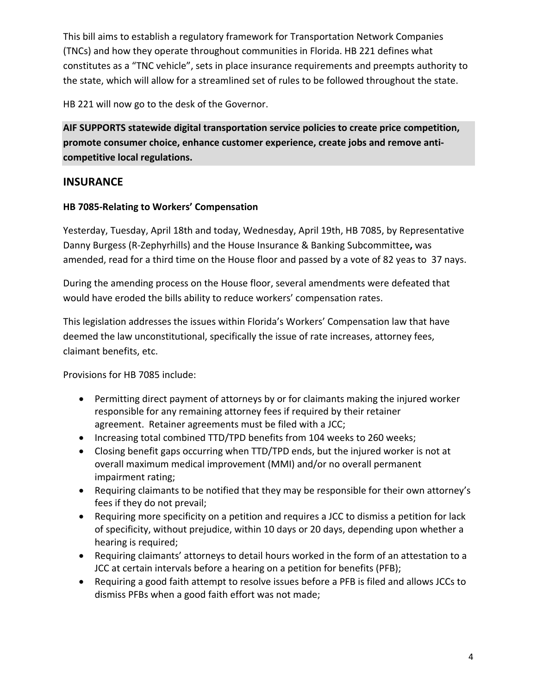This bill aims to establish a regulatory framework for Transportation Network Companies (TNCs) and how they operate throughout communities in Florida. HB 221 defines what constitutes as a "TNC vehicle", sets in place insurance requirements and preempts authority to the state, which will allow for a streamlined set of rules to be followed throughout the state.

HB 221 will now go to the desk of the Governor.

**AIF SUPPORTS statewide digital transportation service policies to create price competition, promote consumer choice, enhance customer experience, create jobs and remove anticompetitive local regulations.**

### **INSURANCE**

### **HB 7085-Relating to Workers' Compensation**

Yesterday, Tuesday, April 18th and today, Wednesday, April 19th, HB 7085, by Representative Danny Burgess (R-Zephyrhills) and the House Insurance & Banking Subcommittee**,** was amended, read for a third time on the House floor and passed by a vote of 82 yeas to 37 nays.

During the amending process on the House floor, several amendments were defeated that would have eroded the bills ability to reduce workers' compensation rates.

This legislation addresses the issues within Florida's Workers' Compensation law that have deemed the law unconstitutional, specifically the issue of rate increases, attorney fees, claimant benefits, etc.

Provisions for HB 7085 include:

- Permitting direct payment of attorneys by or for claimants making the injured worker responsible for any remaining attorney fees if required by their retainer agreement. Retainer agreements must be filed with a JCC;
- Increasing total combined TTD/TPD benefits from 104 weeks to 260 weeks;
- Closing benefit gaps occurring when TTD/TPD ends, but the injured worker is not at overall maximum medical improvement (MMI) and/or no overall permanent impairment rating;
- Requiring claimants to be notified that they may be responsible for their own attorney's fees if they do not prevail;
- Requiring more specificity on a petition and requires a JCC to dismiss a petition for lack of specificity, without prejudice, within 10 days or 20 days, depending upon whether a hearing is required;
- Requiring claimants' attorneys to detail hours worked in the form of an attestation to a JCC at certain intervals before a hearing on a petition for benefits (PFB);
- Requiring a good faith attempt to resolve issues before a PFB is filed and allows JCCs to dismiss PFBs when a good faith effort was not made;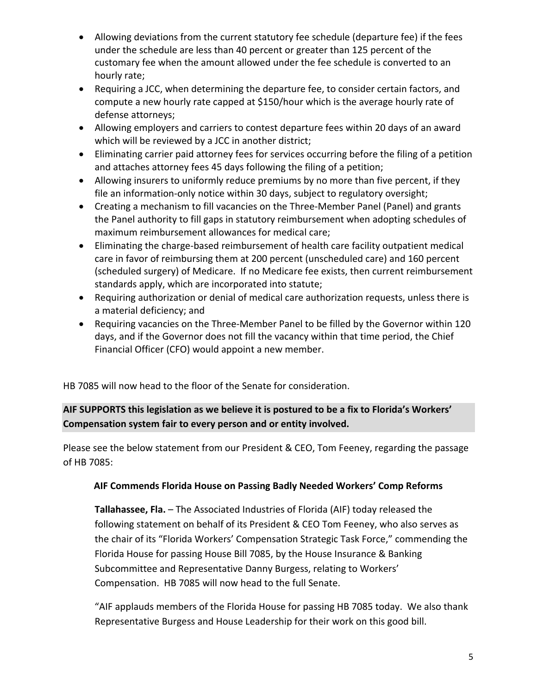- Allowing deviations from the current statutory fee schedule (departure fee) if the fees under the schedule are less than 40 percent or greater than 125 percent of the customary fee when the amount allowed under the fee schedule is converted to an hourly rate;
- Requiring a JCC, when determining the departure fee, to consider certain factors, and compute a new hourly rate capped at \$150/hour which is the average hourly rate of defense attorneys;
- Allowing employers and carriers to contest departure fees within 20 days of an award which will be reviewed by a JCC in another district;
- Eliminating carrier paid attorney fees for services occurring before the filing of a petition and attaches attorney fees 45 days following the filing of a petition;
- Allowing insurers to uniformly reduce premiums by no more than five percent, if they file an information-only notice within 30 days, subject to regulatory oversight;
- Creating a mechanism to fill vacancies on the Three-Member Panel (Panel) and grants the Panel authority to fill gaps in statutory reimbursement when adopting schedules of maximum reimbursement allowances for medical care;
- Eliminating the charge-based reimbursement of health care facility outpatient medical care in favor of reimbursing them at 200 percent (unscheduled care) and 160 percent (scheduled surgery) of Medicare. If no Medicare fee exists, then current reimbursement standards apply, which are incorporated into statute;
- Requiring authorization or denial of medical care authorization requests, unless there is a material deficiency; and
- Requiring vacancies on the Three-Member Panel to be filled by the Governor within 120 days, and if the Governor does not fill the vacancy within that time period, the Chief Financial Officer (CFO) would appoint a new member.

HB 7085 will now head to the floor of the Senate for consideration.

# **AIF SUPPORTS this legislation as we believe it is postured to be a fix to Florida's Workers' Compensation system fair to every person and or entity involved.**

Please see the below statement from our President & CEO, Tom Feeney, regarding the passage of HB 7085:

### **AIF Commends Florida House on Passing Badly Needed Workers' Comp Reforms**

**Tallahassee, Fla.** – The Associated Industries of Florida (AIF) today released the following statement on behalf of its President & CEO Tom Feeney, who also serves as the chair of its "Florida Workers' Compensation Strategic Task Force," commending the Florida House for passing House Bill 7085, by the House Insurance & Banking Subcommittee and Representative Danny Burgess, relating to Workers' Compensation. HB 7085 will now head to the full Senate.

"AIF applauds members of the Florida House for passing HB 7085 today. We also thank Representative Burgess and House Leadership for their work on this good bill.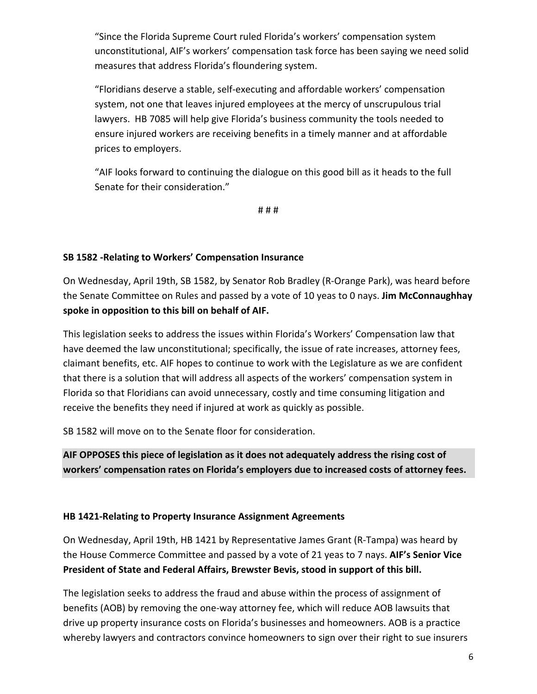"Since the Florida Supreme Court ruled Florida's workers' compensation system unconstitutional, AIF's workers' compensation task force has been saying we need solid measures that address Florida's floundering system.

"Floridians deserve a stable, self-executing and affordable workers' compensation system, not one that leaves injured employees at the mercy of unscrupulous trial lawyers. HB 7085 will help give Florida's business community the tools needed to ensure injured workers are receiving benefits in a timely manner and at affordable prices to employers.

"AIF looks forward to continuing the dialogue on this good bill as it heads to the full Senate for their consideration."

# # #

### **SB 1582 -Relating to Workers' Compensation Insurance**

On Wednesday, April 19th, SB 1582, by Senator Rob Bradley (R-Orange Park), was heard before the Senate Committee on Rules and passed by a vote of 10 yeas to 0 nays. **Jim McConnaughhay spoke in opposition to this bill on behalf of AIF.**

This legislation seeks to address the issues within Florida's Workers' Compensation law that have deemed the law unconstitutional; specifically, the issue of rate increases, attorney fees, claimant benefits, etc. AIF hopes to continue to work with the Legislature as we are confident that there is a solution that will address all aspects of the workers' compensation system in Florida so that Floridians can avoid unnecessary, costly and time consuming litigation and receive the benefits they need if injured at work as quickly as possible.

SB 1582 will move on to the Senate floor for consideration.

**AIF OPPOSES this piece of legislation as it does not adequately address the rising cost of workers' compensation rates on Florida's employers due to increased costs of attorney fees.**

#### **HB 1421-Relating to Property Insurance Assignment Agreements**

On Wednesday, April 19th, HB 1421 by Representative James Grant (R-Tampa) was heard by the House Commerce Committee and passed by a vote of 21 yeas to 7 nays. **AIF's Senior Vice President of State and Federal Affairs, Brewster Bevis, stood in support of this bill.**

The legislation seeks to address the fraud and abuse within the process of assignment of benefits (AOB) by removing the one-way attorney fee, which will reduce AOB lawsuits that drive up property insurance costs on Florida's businesses and homeowners. AOB is a practice whereby lawyers and contractors convince homeowners to sign over their right to sue insurers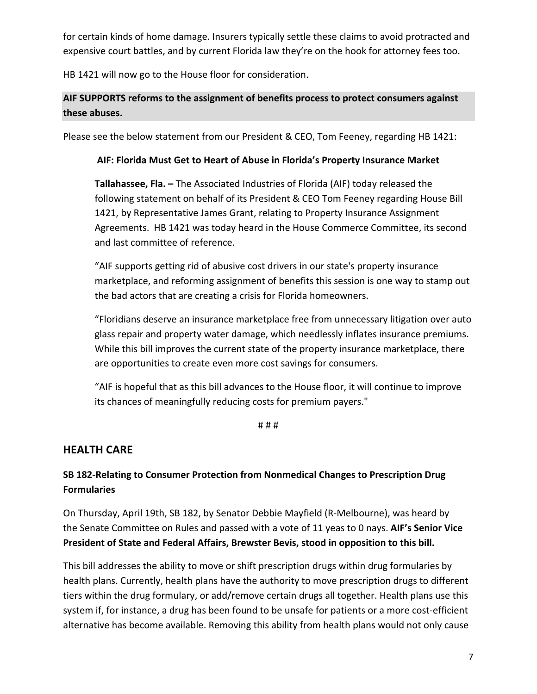for certain kinds of home damage. Insurers typically settle these claims to avoid protracted and expensive court battles, and by current Florida law they're on the hook for attorney fees too.

HB 1421 will now go to the House floor for consideration.

# **AIF SUPPORTS reforms to the assignment of benefits process to protect consumers against these abuses.**

Please see the below statement from our President & CEO, Tom Feeney, regarding HB 1421:

#### **AIF: Florida Must Get to Heart of Abuse in Florida's Property Insurance Market**

**Tallahassee, Fla. –** The Associated Industries of Florida (AIF) today released the following statement on behalf of its President & CEO Tom Feeney regarding House Bill 1421, by Representative James Grant, relating to Property Insurance Assignment Agreements. HB 1421 was today heard in the House Commerce Committee, its second and last committee of reference.

"AIF supports getting rid of abusive cost drivers in our state's property insurance marketplace, and reforming assignment of benefits this session is one way to stamp out the bad actors that are creating a crisis for Florida homeowners.

"Floridians deserve an insurance marketplace free from unnecessary litigation over auto glass repair and property water damage, which needlessly inflates insurance premiums. While this bill improves the current state of the property insurance marketplace, there are opportunities to create even more cost savings for consumers.

"AIF is hopeful that as this bill advances to the House floor, it will continue to improve its chances of meaningfully reducing costs for premium payers."

# # #

### **HEALTH CARE**

### **SB 182-Relating to Consumer Protection from Nonmedical Changes to Prescription Drug Formularies**

On Thursday, April 19th, SB 182, by Senator Debbie Mayfield (R-Melbourne), was heard by the Senate Committee on Rules and passed with a vote of 11 yeas to 0 nays. **AIF's Senior Vice President of State and Federal Affairs, Brewster Bevis, stood in opposition to this bill.**

This bill addresses the ability to move or shift prescription drugs within drug formularies by health plans. Currently, health plans have the authority to move prescription drugs to different tiers within the drug formulary, or add/remove certain drugs all together. Health plans use this system if, for instance, a drug has been found to be unsafe for patients or a more cost-efficient alternative has become available. Removing this ability from health plans would not only cause